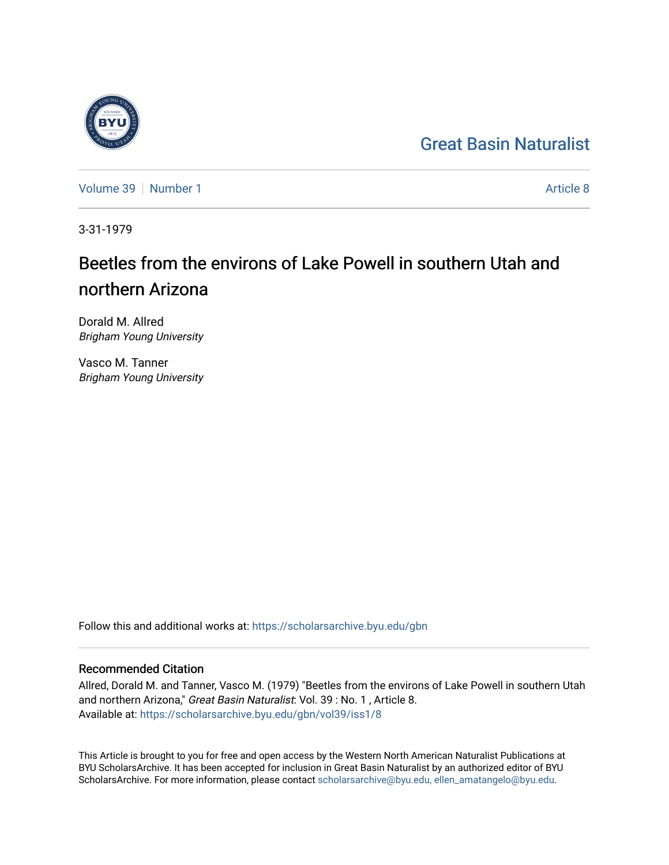## [Great Basin Naturalist](https://scholarsarchive.byu.edu/gbn)

[Volume 39](https://scholarsarchive.byu.edu/gbn/vol39) [Number 1](https://scholarsarchive.byu.edu/gbn/vol39/iss1) [Article 8](https://scholarsarchive.byu.edu/gbn/vol39/iss1/8) Article 8

3-31-1979

# Beetles from the environs of Lake Powell in southern Utah and northern Arizona

Dorald M. Allred Brigham Young University

Vasco M. Tanner Brigham Young University

Follow this and additional works at: [https://scholarsarchive.byu.edu/gbn](https://scholarsarchive.byu.edu/gbn?utm_source=scholarsarchive.byu.edu%2Fgbn%2Fvol39%2Fiss1%2F8&utm_medium=PDF&utm_campaign=PDFCoverPages) 

### Recommended Citation

Allred, Dorald M. and Tanner, Vasco M. (1979) "Beetles from the environs of Lake Powell in southern Utah and northern Arizona," Great Basin Naturalist: Vol. 39 : No. 1 , Article 8. Available at: [https://scholarsarchive.byu.edu/gbn/vol39/iss1/8](https://scholarsarchive.byu.edu/gbn/vol39/iss1/8?utm_source=scholarsarchive.byu.edu%2Fgbn%2Fvol39%2Fiss1%2F8&utm_medium=PDF&utm_campaign=PDFCoverPages)

This Article is brought to you for free and open access by the Western North American Naturalist Publications at BYU ScholarsArchive. It has been accepted for inclusion in Great Basin Naturalist by an authorized editor of BYU ScholarsArchive. For more information, please contact [scholarsarchive@byu.edu, ellen\\_amatangelo@byu.edu.](mailto:scholarsarchive@byu.edu,%20ellen_amatangelo@byu.edu)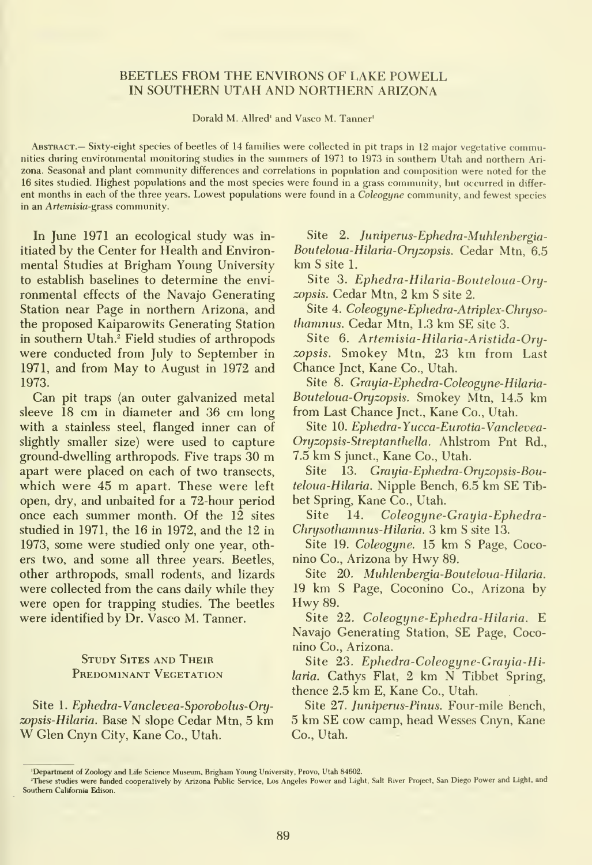#### BEETLES FROM THE ENVIRONS OF LAKE POWELL IN SOUTHERN UTAH AND NORTHERN ARIZONA

Dorald M. Allred' and Vasco M. Tanner'

Abstract.— Sixty-eight species of beetles of <sup>14</sup> families were collected in pit traps in <sup>12</sup> major vegetative communities during environmental monitoring studies in the summers of 1971 to 1973 in southern Utah and northern Ari zona. Seasonal and plant community differences and correlations in population and composition were noted for the 16 sites studied. Highest populations and the most species were foimd in a grass commimity, but occurred in differ ent months in each of the three years. Lowest populations were found in a Coleogyne community, and fewest species in an Artemisia-grass community.

In June 1971 an ecological study was in itiated by the Center for Health and Environ mental Studies at Brigham Young University to establish baselines to determine the envi ronmental effects of the Navajo Generating Station near Page in northern Arizona, and the proposed Kaiparowits Generating Station in southern Utah.<sup>2</sup> Field studies of arthropods were conducted from July to September in 1971, and from May to August in 1972 and 1973.

Can pit traps (an outer galvanized metal sleeve 18 cm in diameter and 36 cm long with a stainless steel, flanged inner can of slightly smaller size) were used to capture ground-dwelling arthropods. Five traps <sup>30</sup> m apart were placed on each of two transects, which were <sup>45</sup> m apart. These were left open, dry, and unbaited for a 72-hour period once each summer month. Of the 12 sites studied in 1971, the 16 in 1972, and the 12 in 1973, some were studied only one year, others two, and some all three years. Beetles, other arthropods, small rodents, and lizards were collected from the cans daily while they were open for trapping studies. The beetles were identified by Dr. Vasco M. Tanner.

#### STUDY SITES AND THEIR PREDOMINANT VEGETATION

Site 1. Ephedra-Vanclevea-Sporobolus-Oryzopsis-Hilaria. Base N slope Cedar Mtn, <sup>5</sup> km W Glen Cnyn City, Kane Co., Utah.

Site 2. Juniperus-Ephedra-Muhlenbergia-Botiteloua-Hilaria-Oryzopsis. Cedar Mtn, 6.5 km <sup>S</sup> site 1.

Site 3. Ephedra-Hilaria-Bouteloua-Oryzopsis. Cedar Mtn, 2 km <sup>S</sup> site 2.

Site 4. Coleogyne-Ephedra-Atriplex-Chryso thamnus. Cedar Mtn, 1.3 km SE site 3.

Site 6. Artemisia-Hilaria-Aristida-Oryzopsis. Smokey Mtn, 23 km from Last Chance Jnct, Kane Co., Utah.

Site 8. Grayia-Ephedra-Coleogyne-Hilaria-Bouteloua-Oryzopsis. Smokey Mtn, 14.5 km from Last Chance Jnct., Kane Co., Utah.

Site 10. Ephedra-Yucca-Eurotia-Vanclevea-Oryzopsis-Streptanthella. Ahlstrom Pnt Rd., 7.5 km <sup>S</sup> junct., Kane Co., Utah.

Site 13. Grayia-Ephedra-Oryzopsis-Bouteloua-Hilaria. Nipple Bench, 6.5 km SE Tibbet Spring, Kane Co., Utah.

Site 14. Coleogyne-Grayia-Ephedra-Chrysothamnus-Hilaria. 3 km S site 13.

Site 19. Coleogyne. 15 km S Page, Coconino Co., Arizona by Hwy 89.

Site 20. Muhlenbergia-Bouteloua-Hilaria. <sup>19</sup> km <sup>S</sup> Page, Coconino Co., Arizona by Hwy 89.

Site 22. Coleogyne-Ephedra-Hilaria. E Navajo Generating Station, SE Page, Coconino Co., Arizona.

Site 23. Ephedra-Coleogyne-Grayia-Hilaria. Cathys Flat, <sup>2</sup> km N Tibbet Spring, thence 2.5 km E, Kane Co., Utah.

Site 27. Juniperus-Pinus. Four-mile Bench, 5 km SE cow camp, head Wesses Cnyn, Kane Co., Utah.

<sup>&#</sup>x27;Department of Zoology and Life Science Museum. Brigham Young University, Provo, Utah 84602.

<sup>&#</sup>x27;These studies were funded cooperatively by Arizona Pubhc Service, Los Angeles Power and Light, Salt River Project, San Diego Power and Light, and Southern California Edison.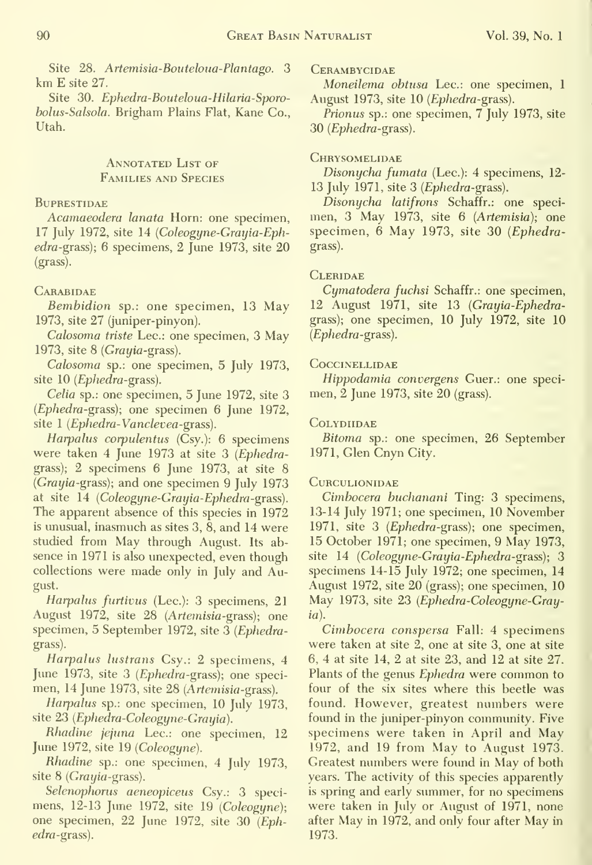Site 28. Artemisia-Bouteloua-Plantago. 3 km E site 27.

Site 30. Ephedra-Bouteloua-Hilaria-Sporo holus-Salsola. Brigham Plains Flat, Kane Co., Utah.

#### ANNOTATED LIST OF Families and Species

#### **BUPRESTIDAE**

Acamaeodera lanata Horn: one specimen, 17 July 1972, site 14 (Coleogyne-Grayia-Eph $edra-grass$ ; 6 specimens, 2 June 1973, site  $20$ (grass).

#### **CARABIDAE**

Bembidion sp.: one specimen, 13 May 1973, site 27 (juniper-pinyon).

Calosoma triste Lee: one specimen, 3 May 1973, site  $8$  (*Grayia-grass*).

Calosoma sp.: one specimen, 5 July 1973, site 10 (Ephedra-grass).

Celia sp.: one specimen, 5 June 1972, site 3 (Ephedra-grass); one specimen 6 June 1972, site 1 (Ephedra-Vanclevea-grass).

Harpalus corpulentus  $(Csy.)$ : 6 specimens were taken 4 June 1973 at site 3 (Ephedragrass); 2 specimens 6 June 1973, at site 8  $(Gravia-grass)$ ; and one specimen 9 July 1973 at site 14 (Coleogyne-Grayia-Ephedra-grass). The apparent absence of this species in 1972 is unusual, inasmuch as sites  $3, \overline{8}$ , and  $14$  were studied from May through August. Its ab sence in 1971 is also unexpected, even though collections were made only in July and August.

Harpalus furtivus (Lec.): 3 specimens, 21 August 1972, site 28 (Artemisia-grass); one specimen, 5 September 1972, site 3 (Ephedragrass).

Harpalus lustrans Csy.: 2 specimens, 4 June 1973, site 3 (Ephedra-grass); one speci men, 14 June 1973, site 28 (Artemisia-grass).

Harpalus sp.: one specimen, 10 July 1973, site 23 (Ephedra-Coleogyne-Grayia).

Rhadine jejuna Lee: one specimen, 12 June 1972, site 19 (Coleogyne).

Rhadine sp.: one specimen, 4 July 1973, site  $8$  (*Grayia*-grass).

Selenophorus aeneopiceus Csy.: 3 speci mens, 12-13 June 1972, site 19 (Coleogyne); one specimen, 22 June 1972, site 30 (Ephedra-grass).

#### **CERAMBYCIDAE**

Moneilema obtusa Lee: one specimen, <sup>1</sup> August 1973, site 10 (Ephedra-grass).

Prionus sp.: one specimen, 7 July 1973, site 30 (Ephedra-grass).

#### **CHRYSOMELIDAE**

Disonycha fumata (Lec.): 4 specimens, 12-13 July 1971, site 3 (Ephedra-grass).

Disonycha latifrons Schaffr.: one speci men, 3 May 1973, site 6 (Artemisia); one specimen, 6 May 1973, site 30 (Ephedragrass).

#### **CLERIDAE**

Cymatodera fuchsi Schaffr.: one specimen, 12 August 1971, site 13 (Grayia-Ephedragrass); one specimen, 10 July 1972, site 10 (Ephedra-grass).

#### **COCCINELLIDAE**

Hippodamia convergens Guer.: one speci men, 2 June 1973, site 20 (grass).

#### **COLYDIIDAE**

Bitoma sp.: one specimen, 26 September 1971, Glen Cnyn City.

#### **CURCULIONIDAE**

Cimbocera huchanani Ting: 3 specimens, 13-14 July 1971; one specimen, 10 November 1971, site 3 (Ephedra-grass); one specimen, 15 October 1971; one specimen, 9 May 1973, site 14 (Coleogyne-Grayia-Ephedra-grass); 3 specimens 14-15 July 1972; one specimen, 14 August 1972, site 20 (grass); one specimen, 10 May 1973, site 23 (Ephedra-Coleogyne-Grayia).

Cimbocera conspersa Fall: 4 specimens were taken at site 2, one at site 3, one at site 6, 4 at site 14, 2 at site 23, and 12 at site 27. Plants of the genus Ephedra were common to four of the six sites where this beetle was found. However, greatest numbers were found in the juniper-pinyon community. Five specimens were taken in April and May 1972, and 19 from May to August 1973. Greatest numbers were found in May of both years. The activity of this species apparently is spring and early summer, for no specimens were taken in July or August of 1971, none after May in 1972, and only four after May in 1973.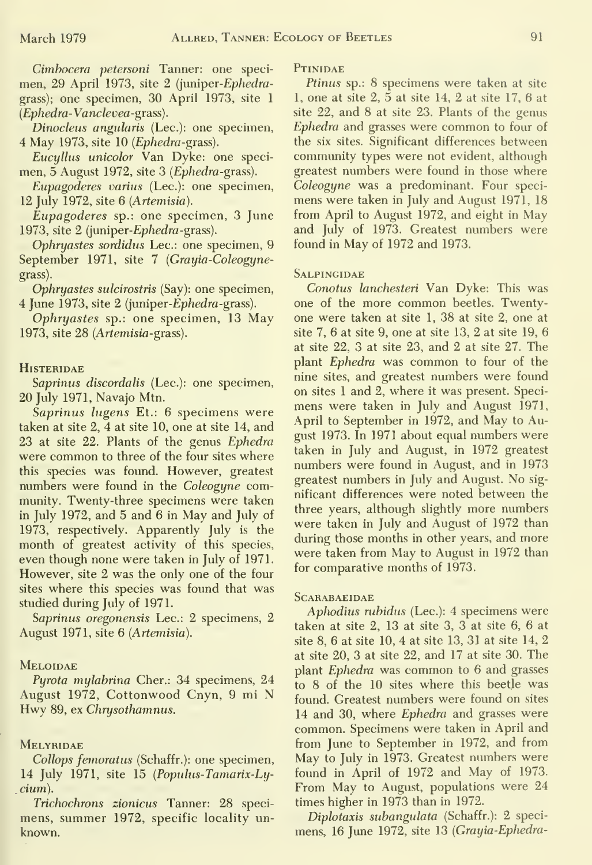Cimbocera petersoni Tanner: one speci men, 29 April 1973, site 2 (juniper-Ephedragrass); one specimen, 30 April 1973, site <sup>1</sup> (Ephedra-Vanclevea-grass).

Dinocleus angularis (Lee): one specimen, 4 May 1973, site 10 (Ephedra-grass).

Eucyllus unicolor Van Dyke: one speci men, 5 August 1972, site 3 (Ephedra-grass).

Eupagoderes varius (Lee): one specimen, 12 July 1972, site 6 (Artemisia).

Eupagoderes sp.: one specimen, 3 June 1973, site 2 (juniper-Ephedra-grass).

Ophryastes sordidus Lee: one specimen, 9 September 1971, site 7 (Grayia-Coleogynegrass).

Ophryastes sulcirostris (Say): one specimen, 4 June 1973, site 2 (juniper-Ephedra-grass).

Ophryastes sp.: one specimen, 13 May 1973, site 28 (Artemisia-grass).

#### **HISTERIDAE**

Saprinus discordalis (Lec.): one specimen, 20 July 1971, Navajo Mtn.

Saprinus lugens Et.: 6 specimens were taken at site 2, 4 at site 10, one at site 14, and 23 at site 22. Plants of the genus Ephedra were common to three of the four sites where this species was found. However, greatest numbers were found in the Coleogyne community. Twenty-three specimens were taken in July 1972, and 5 and 6 in May and July of 1973, respectively. Apparently July is the month of greatest activity of this species, even though none were taken in July of 1971. However, site 2 was the only one of the four sites where this species was found that was studied during July of 1971.

Saprinus oregonensis Lee: 2 specimens, 2 August 1971, site 6 (Artemisia).

#### **MELOIDAE**

Pyrota mylabrina Cher.: 34 specimens, 24 August 1972, Cottonwood Cnyn, <sup>9</sup> mi N Hwy 89, ex Chrysothamnus.

#### **MELYRIDAE**

Collops femoratus (Schaffr.): one specimen, 14 July 1971, site 15 (Popuhis-Tamarix-Ly- \_cium).

Trichochrons zionicus Tanner: 28 speci mens, summer 1972, specific locality un known.

**PTINIDAE** 

Ptinus sp.: 8 specimens were taken at site 1, one at site  $2, 5$  at site 14, 2 at site 17, 6 at site 22, and 8 at site 23. Plants of the genus Ephedra and grasses were common to four of the six sites. Significant differences between community types were not evident, although greatest numbers were found in those where Coleogyne was a predominant. Four speci mens were taken in July and August 1971, 18 from April to August 1972, and eight in May and July of 1973. Greatest numbers were found in May of 1972 and 1973.

#### **SALPINGIDAE**

Conotus lanchesteri Van Dyke: This was one of the more common beetles. Twentyone were taken at site 1, 38 at site 2, one at site 7, 6 at site 9, one at site 13, 2 at site 19, 6 at site 22, 3 at site 23, and 2 at site 27. The plant Ephedra was common to four of the nine sites, and greatest numbers were found on sites <sup>1</sup> and 2,where it was present. Speci mens were taken in July and August 1971, April to September in 1972, and May to August 1973. In 1971 about equal numbers were taken in July and August, in 1972 greatest numbers were found in August, and in 1973 greatest numbers in July and August. No sig nificant differences were noted between the three years, although slightly more numbers were taken in July and August of 1972 than during those months in other years, and more were taken from May to August in 1972 than for comparative months of 1973.

#### **SCARABAEIDAE**

Aphodius rubidus (Lee): 4 specimens were taken at site 2, 13 at site 3, 3 at site 6, 6 at site 8, 6 at site 10, 4 at site 13, 31 at site 14, 2 at site 20, 3 at site 22, and 17 at site 30. The plant Ephedra was common to 6 and grasses to 8 of the 10 sites where this beetle was found. Greatest numbers were found on sites 14 and 30, where Ephedra and grasses were common. Specimens were taken in April and from June to September in 1972, and from May to July in 1973. Greatest numbers were found in April of 1972 and May of 1973. From May to August, populations were 24 times higher in 1973 than in 1972.

Diplotaxis subangulata (Schaffr.): 2 specimens, 16 June 1972, site 13 (Grayia-Ephedra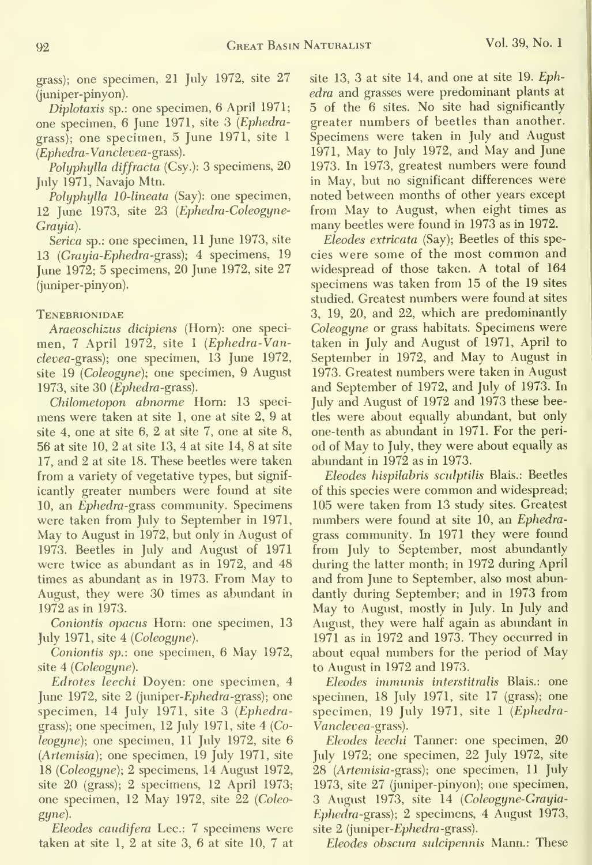grass); one specimen, 21 July 1972, site 27 (juniper-pinyon).

Diplotaxis sp.: one specimen, 6 April 1971; one specimen, 6 June 1971, site 3 {Ephedragrass); one specimen, 5 June 1971, site <sup>1</sup> (Ephedra-Vanclevea-grass).

Polyphylla diffracta (Csy.): 3 specimens, 20 July 1971, Navajo Mtn.

Polyphylla 10-lineata (Say): one specimen, 12 June 1973, site 23 {Ephedra-Coleogyne-Grayia).

Serica sp.: one specimen, 11 June 1973, site 13 (Grayia-Ephedra-grass); 4 specimens,  $19$ June 1972; 5 specimens, 20 June 1972, site 27 (juniper-pinyon).

#### **TENEBRIONIDAE**

Araeoschizus dicipiens (Horn): one speci men, 7 April 1972, site 1 (Ephedra-Vanclevea-grass); one specimen, 13 June 1972, site 19 (Coleogyne); one specimen, 9 August 1973, site  $30$  (*Ephedra*-grass).

Chilometopon abnorme Horn: 13 speci mens were taken at site 1, one at site 2, 9 at site 4, one at site 6, 2 at site 7, one at site 8, 56 at site 10, 2 at site 13, 4 at site 14, 8 at site 17, and 2 at site 18. These beetles were taken from a variety of vegetative types, but signif icantly greater numbers were found at site 10, an *Ephedra-grass* community. Specimens were taken from July to September in 1971, May to August in 1972, but only in August of 1973. Beetles in July and August of 1971 were twice as abundant as in 1972, and 48 times as abundant as in 1973. From May toAugust, they were 30 times as abundant in 1972 as in 1973.

Coniontis opacus Horn: one specimen, 13 July 1971, site 4 (Coleogyne).

Coniontis sp.: one specimen, 6 May 1972, site 4 (Coleogyne).

Edrotes leechi Doyen: one specimen, 4 June 1972, site  $2$  (juniper-*Ephedra*-grass); one specimen, 14 July 1971, site 3 (Ephedragrass); one specimen, 12 July 1971, site 4 (Coleogyne); one specimen, 11 July 1972, site 6 (Artemisia); one specimen, 19 July 1971, site 18 (Coleogyne); 2 specimens, 14 August 1972, site 20 (grass); 2 specimens, 12 April 1973; one specimen, 12 May 1972, site 22 (Coleo gyne).

Eleodes caudifera Lec.: 7 specimens were taken at site 1, 2 at site 3, 6 at site 10, 7 at site 13, 3 at site 14, and one at site 19. Ephedra and grasses were predominant plants at 5 of the 6 sites. No site had significantly greater numbers of beetles than another. Specimens were taken in July and August 1971, May to July 1972, and May and June 1973. In 1973, greatest numbers were found in May, but no significant differences were noted between months of other years except from May to August, when eight times as many beetles were found in 1973 as in 1972.

Eleodes extricata (Say); Beetles of this species were some of the most common and widespread of those taken. A total of 164 specimens was taken from 15 of the 19 sites studied. Greatest numbers were found at sites 3, 19, 20, and 22, which are predominantly Coleogyne or grass habitats. Specimens were taken in July and August of 1971, April to September in 1972, and May to August in 1973. Greatest numbers were taken in August and September of 1972, and July of 1973. In July and August of 1972 and 1973 these beetles were about equally abundant, but only one-tenth as abundant in 1971. For the peri od of May to July, they were about equally as abundant in 1972 as in 1973.

Eleodes hispilahris sculptilis Blais.: Beetles of this species were common and widespread; 105 were taken from 13 study sites. Greatest numbers were found at site 10, an Ephedragrass community. In 1971 they were found from July to September, most abundantly during the latter month; in 1972 during April and from June to September, also most abundantly during September; and in 1973 from May to August, mostly in July. In July and August, they were half again as abundant in 1971 as in 1972 and 1973. They occurred in about equal numbers for the period of May to August in 1972 and 1973.

Eleodes immunis interstitralis Blais.: one specimen, 18 July 1971, site 17 (grass); one specimen, 19 July 1971, site <sup>1</sup> (Ephedra-Vanclevea-grass).

Eleodes leechi Tanner: one specimen, 20 July 1972; one specimen, 22 July 1972, site 28 (*Artemisia-grass*); one specimen, 11 July 1973, site 27 (juniper-pinyon); one specimen, 3 August 1973, site 14 (Coleogyne-Grayia-Ephedra-grass); 2 specimens, 4 August 1973, site 2 (juniper-Ephedra-grass).

Eleodes obscura sulcipennis Mann.: These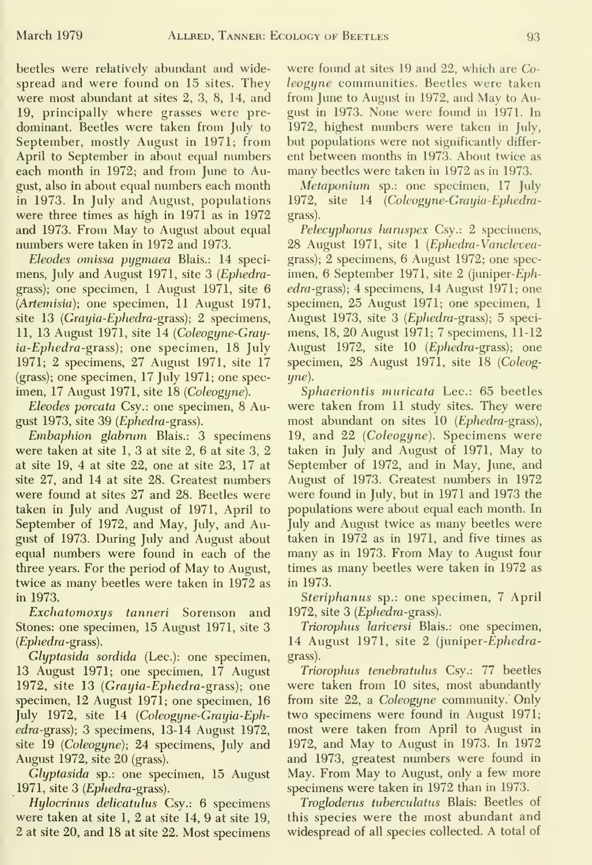beetles were relatively abundant and wide spread and were found on 15 sites. They were most abundant at sites 2, 3, 8, 14, and 19, principally where grasses were pre dominant. Beetles were taken from July to September, mostly August in 1971; from April to September in about equal numbers each month in 1972; and from June to August, also in about equal numbers each month in 1973. In July and August, populations were three times as high in 1971 as in 1972 and 1973. From May to August about equal numbers were taken in 1972 and 1973.

Eleodes omissa pygmaea Blais.: 14 speci mens, July and August 1971, site 3 (Ephedragrass); one specimen, <sup>1</sup>August 1971, site 6 (Artemisia); one specimen, 11 August 1971, site 13 (Grayia-Ephedra-grass); 2 specimens, 11, 13 August 1971, site 14 (Coleogyne-Grayia-Ephedra-grass); one specimen, 18 July 1971; 2 specimens, 27 August 1971, site 17 (grass); one specimen, 17 July 1971; one spec imen, 17 August 1971, site 18 (Coleogyne).

Eleodes porcata Csy.: one specimen, 8 August 1973, site 39 (Ephedra-grass).

Embaphion glabrum Blais.: 3 specimens were taken at site 1, 3 at site 2, 6 at site 3, 2 at site 19, 4 at site 22, one at site 23, 17 at site 27, and 14 at site 28. Greatest numbers were found at sites 27 and 28. Beetles were taken in July and August of 1971, April to September of 1972, and May, July, and August of 1973. During July and August about equal numbers were found in each of the three years. For the period of May to August, twice as many beetles were taken in 1972 as in 1973.

Exchatomoxys tanneri Sorenson and Stones: one specimen, 15 August 1971, site 3  $(Ephedra-grass)$ .

Glyptasida sordida (Lec.): one specimen, 13 August 1971; one specimen, 17 August 1972, site 13 (Grayia-Ephedra-grass); one specimen, 12 August 1971; one specimen, 16 July 1972, site 14 (Coleogyne-Grayia-Ephedra-grass); 3 specimens, 13-14 August 1972, site 19 (Coleogyne); 24 specimens, July and August 1972, site 20 (grass).

Glyptasida sp.: one specimen, 15 August 1971, site 3 (Ephedra-grass).

Hylocrinus delicatulus Csy.: 6 specimens were taken at site 1, 2 at site 14, 9 at site 19, 2 at site 20, and 18 at site 22. Most specimens

were found at sites 19 and 22, which are Co leogyne communities. Beetles were taken from June to August in 1972, and May to August in 1973. None were found in 1971. In 1972, highest numbers were taken in July, but populations were not significantly differ ent between months in 1973. About twice as many beetles were taken in 1972 as in 1973.

Metaponium sp.: one specimen, 17 July 1972, site 14 (Coleogyne-Grayia-Ephedragrass).

Pelecyphorus haruspex Csy.: 2 specimens, 28 August 1971, site <sup>1</sup> (Ephedra-Vancleveagrass); 2 specimens, 6 August 1972; one spec imen, 6 September 1971, site 2 (juniper-Ephedra-grass); 4 specimens, 14 August 1971; one specimen, 25 August 1971; one specimen, <sup>1</sup>August 1973, site 3 (Ephedra-grass); 5 speci mens, 18, 20 August 1971; 7 specimens, 11-12 August 1972, site 10 (Ephedra-grass); one specimen, 28 August 1971, site 18 (Coleogyne).

Sphaeriontis muricata Lec.: 65 beetles were taken from 11 study sites. They were most abundant on sites 10 (Ephedra-grass), 19, and 22 (Coleogyne). Specimens were taken in July and August of 1971, May to September of 1972, and in May, June, and August of 1973. Greatest numbers in 1972 were found in July, but in 1971 and 1973 the populations were about equal each month. In July and August twice as many beetles were taken in 1972 as in 1971, and five times as many as in 1973. From May to August four times as many beetles were taken in 1972 as in 1973.

Steriphanus sp.: one specimen, 7 April 1972, site 3 (Ephedra-grass).

Triorophus lariversi Blais.: one specimen, 14 August 1971, site 2 (juniper-Ephedragrass).

Triorophus tenehratulus Csy.: 77 beetles were taken from 10 sites, most abundantly from site 22, a Coleogyne community. Only two specimens were found in August 1971; most were taken from April to August in 1972, and May to August in 1973. In 1972 and 1973, greatest numbers were found in May. From May to August, only a few more specimens were taken in 1972 than in 1973.

Trogloderus tuberculatus Blais: Beetles of this species were the most abundant and widespread of all species collected. A total of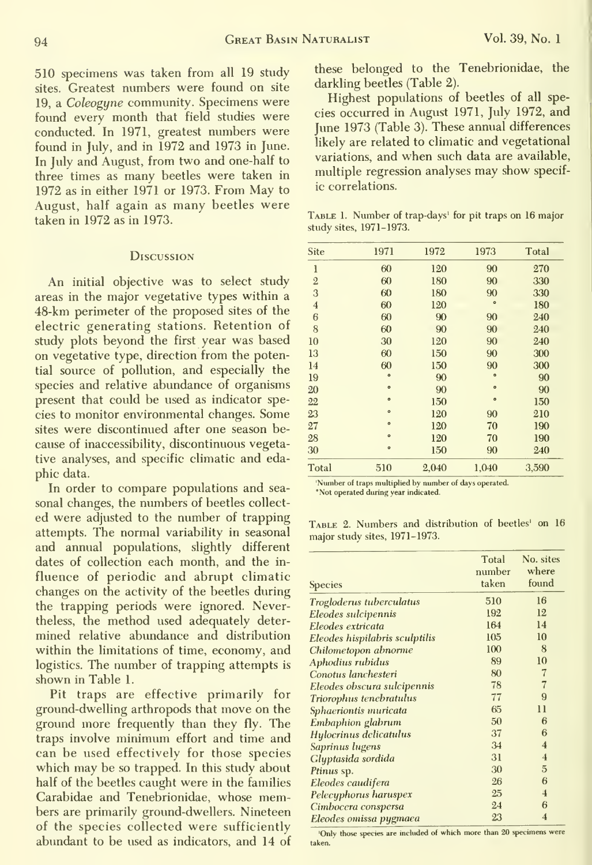510 specimens was taken from all 19 study sites. Greatest numbers were found on site 19, a Coleogyne community. Specimens were found every month that field studies were conducted. In 1971, greatest numbers were found in July, and in 1972 and 1973 in June. In July and August, from two and one-half to three times as many beetles were taken in 1972 as in either 1971 or 1973. From May to August, half again as many beetles were taken in 1972 as in 1973.

#### **Discussion**

An initial objective was to select study areas in the major vegetative types within a 48-km perimeter of the proposed sites of the electric generating stations. Retention of study plots beyond the first year was based on vegetative type, direction from the potential source of pollution, and especially the species and relative abundance of organisms present that could be used as indicator species to monitor environmental changes. Some sites were discontinued after one season be cause of inaccessibility, discontinuous vegetative analyses, and specific climatic and eda phic data.

In order to compare populations and sea-<br>Not operated during year indicated. sonal changes, the numbers of beetles collect ed were adjusted to the number of trapping TABLE 2. Numbers and distribution of beetles' on 16 attempts. The normal variability in seasonal major study sites, 1971-1973. and annual populations, slightly different dates of collection each month, and the in fluence of periodic and abrupt climatic changes on the activity of the beetles during the trapping periods were ignored. Nevertheless, the method used adequately deter mined relative abundance and distribution within the limitations of time, economy, and logistics. The number of trapping attempts is shown in Table 1.

Pit traps are effective primarily for ground-dwelling arthropods that move on the ground more frequently than they fly. The traps involve minimum effort and time and can be used effectively for those species which may be so trapped. In this study about half of the beetles caught were in the families Carabidae and Tenebrionidae, whose members are primarily ground-dwellers. Nineteen of the species collected were sufficiently<br> $\frac{2.26 \text{ MeV}}{10 \text{ hV} + \text{loose species are included of which more than 20 specimens were}}$ abundant to be used as indicators, and 14 of taken.

these belonged to the Tenebrionidae, the darkling beetles (Table 2).

Highest populations of beetles of all species occurred in August 1971, July 1972, and June 1973 (Table 3). These annual differences likely are related to climatic and vegetational variations, and when such data are available, multiple regression analyses may show specific correlations.

Table 1. Number of trap-days' for pit traps on 16 major study sites, 1971-1973.

| Site           | 1971      | 1972  | 1973      | Total |
|----------------|-----------|-------|-----------|-------|
| 1              | 60        | 120   | 90        | 270   |
| $\overline{2}$ | 60        | 180   | 90        | 330   |
| 3              | 60        | 180   | 90        | 330   |
| $\overline{4}$ | 60        | 120   | $\circ$   | 180   |
| 6              | 60        | 90    | 90        | 240   |
| 8              | 60        | 90    | 90        | 240   |
| 10             | 30        | 120   | 90        | 240   |
| 13             | 60        | 150   | 90        | 300   |
| 14             | 60        | 150   | 90        | 300   |
| 19             | $\bullet$ | 90    | $\circ$   | 90    |
| 20             | $\bullet$ | 90    | $\bullet$ | 90    |
| 22             | $\circ$   | 150   | $\circ$   | 150   |
| 23             | $\circ$   | 120   | 90        | 210   |
| 27             | $\circ$   | 120   | 70        | 190   |
| 28             | $\circ$   | 120   | 70        | 190   |
| 30             | $\circ$   | 150   | 90        | 240   |
| Total          | 510       | 2,040 | 1,040     | 3,590 |
|                |           |       |           |       |

| Species                        | Total<br>number<br>taken | No. sites<br>where<br>found |
|--------------------------------|--------------------------|-----------------------------|
| Trogloderus tuberculatus       | 510                      | 16                          |
| Eleodes sulcipennis            | 192                      | 12                          |
| Eleodes extricata              | 164                      | 14                          |
| Eleodes hispilabris sculptilis | 105                      | 10                          |
| Chilometopon abnorme           | 100                      | 8                           |
| Aphodius rubidus               | 89                       | 10                          |
| Conotus lanchesteri            | 80                       | $\overline{7}$              |
| Eleodes obscura sulcipennis    | 78                       | $\overline{7}$              |
| Triorophus tenebratulus        | 77                       | 9                           |
| Sphaeriontis muricata          | 65                       | $_{11}$                     |
| Embaphion glabrum              | 50                       | 6                           |
| Hylocrinus delicatulus         | 37                       | 6                           |
| Saprinus lugens                | 34                       | $\overline{4}$              |
| Glyptasida sordida             | 31                       | $\overline{4}$              |
| Ptinus sp.                     | 30                       | 5                           |
| Eleodes caudifera              | 26                       | 6                           |
| Pelecyphorus haruspex          | 25                       | $\overline{4}$              |
| Cimbocera conspersa            | 24                       | 6                           |
| Eleodes omissa pygmaea         | 23                       | $\overline{4}$              |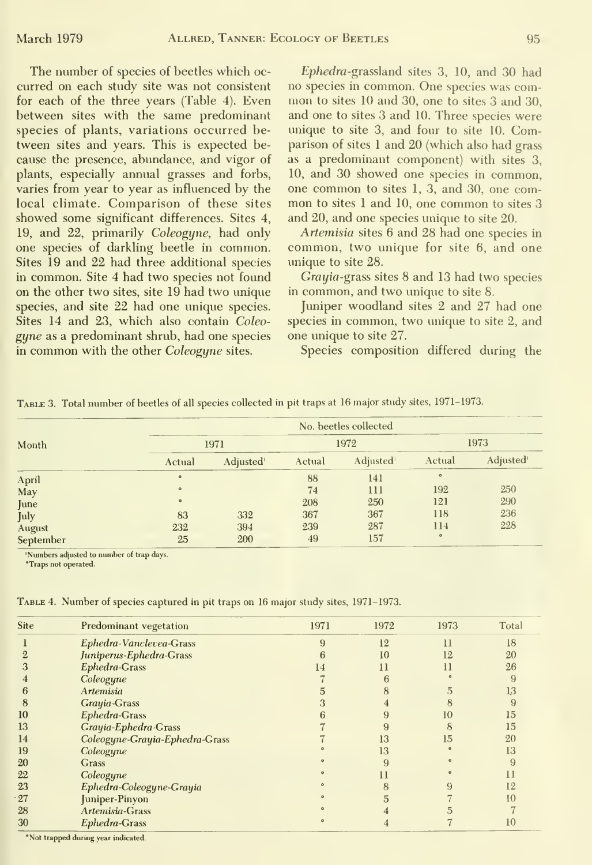The number of species of beetles which oc curred on each study site was not consistent for each of the three years (Table 4). Even between sites with the same predominant species of plants, variations occurred be tween sites and years. This is expected be cause the presence, abundance, and vigor of plants, especially annual grasses and forbs, varies from year to year as influenced by the local climate. Comparison of these sites showed some significant differences. Sites 4, 19, and 22, primarily Coleogyne, had only one species of darkling beetle in common. Sites 19 and 22 had three additional species in common. Site 4 had two species not found on the other two sites, site 19 had two unique species, and site 22 had one unique species. Sites 14 and 23, which also contain Coleo gyne as a predominant shrub, had one species in common with the other Coleogyne sites.

Ephedra-grassland sites 3, 10, and 30 had no species in common. One species was com mon tosites <sup>10</sup> and 30, one to sites <sup>3</sup> and 30, and one to sites 3 and 10. Three species were unique to site 3, and four to site 10. Comparison of sites <sup>1</sup> and 20 (which also had grass as a predominant component) with sites 3, 10, and 30 showed one species in common, one common tosites 1, 3, and 30, one com mon tosites <sup>1</sup> and 10, one common to sites <sup>3</sup> and 20, and one species unique to site 20.

Artemisia sites 6 and 28 had one species in common, two unique for site 6, and one unique to site 28.

Grayia-grass sites 8 and 13 had two species in common, and two unique to site 8.

Juniper woodland sites 2 and 27 had one species in common, two unique to site 2, and one unique to site 27.

Species composition differed during the

|           | No. beetles collected |                       |        |                       |         |                       |  |  |  |  |
|-----------|-----------------------|-----------------------|--------|-----------------------|---------|-----------------------|--|--|--|--|
| Month     |                       | 1971                  |        | 1972                  | 1973    |                       |  |  |  |  |
|           | Actual                | Adjusted <sup>1</sup> | Actual | Adjusted <sup>1</sup> | Actual  | Adjusted <sup>1</sup> |  |  |  |  |
| April     | $\circ$               |                       | 88     | 141                   | $\circ$ |                       |  |  |  |  |
| May       | $\circ$               |                       | 74     | 111                   | 192     | 250                   |  |  |  |  |
| June      | $\circ$               |                       | 208    | 250                   | 121     | 290                   |  |  |  |  |
| July      | 83                    | 332                   | 367    | 367                   | 118     | 236                   |  |  |  |  |
| August    | 232                   | 394                   | 239    | 287                   | 114     | 228                   |  |  |  |  |
| September | 25                    | 200                   | 49     | 157                   | $\circ$ |                       |  |  |  |  |

'Numbers adjusted to number of trap days

*\*Traps not operated.* 

TABLE 4. Number of species captured in pit traps on 16 major study sites, 1971-1973.

| Site | Predominant vegetation         | 1971 | 1972 | 1973 | Total |
|------|--------------------------------|------|------|------|-------|
|      | Ephedra-Vanclevea-Grass        | 9    | 12   | 11   | 18    |
|      | Juniperus-Ephedra-Grass        |      | 10   | 12   | 20    |
|      | Ephedra-Grass                  | 14   | 11   |      | 26    |
|      | Coleogyne                      |      |      |      |       |
|      | Artemisia                      |      |      |      | 13    |
| 8    | Grayia-Grass                   |      |      |      |       |
| 10   | Ephedra-Grass                  |      |      | 10   | 15    |
| 13   | Grayia-Ephedra-Grass           |      |      | 8    | 15    |
| 14   | Coleogyne-Grayia-Ephedra-Grass |      | 13   | 15   | 20    |
| 19   | Coleogyne                      |      | 13   |      | 13    |
| 20   | Grass                          |      | 9    |      |       |
| 22   | Coleogyne                      |      |      |      | Ħ     |
| 23   | Ephedra-Coleogyne-Grayia       |      |      |      | 12    |
| 27   | Juniper-Pinyon                 |      |      |      | 10    |
| 28   | Artemisia-Grass                |      |      |      |       |
| 30   | Ephedra-Grass                  |      |      |      | 10    |

\*Not trapped during year indicated